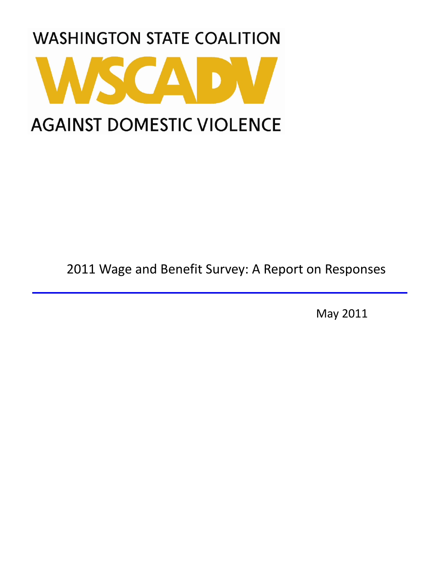

2011 Wage and Benefit Survey: A Report on Responses

May 2011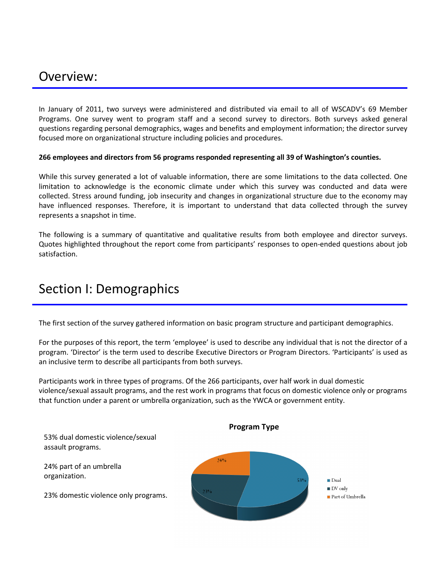## Overview:

In January of 2011, two surveys were administered and distributed via email to all of WSCADV's 69 Member Programs. One survey went to program staff and a second survey to directors. Both surveys asked general questions regarding personal demographics, wages and benefits and employment information; the director survey focused more on organizational structure including policies and procedures.

#### 266 employees and directors from 56 programs responded representing all 39 of Washington's counties.

While this survey generated a lot of valuable information, there are some limitations to the data collected. One limitation to acknowledge is the economic climate under which this survey was conducted and data were collected. Stress around funding, job insecurity and changes in organizational structure due to the economy may have influenced responses. Therefore, it is important to understand that data collected through the survey represents a snapshot in time.

The following is a summary of quantitative and qualitative results from both employee and director surveys. Quotes highlighted throughout the report come from participants' responses to open-ended questions about job satisfaction.

## Section I: Demographics

The first section of the survey gathered information on basic program structure and participant demographics.

For the purposes of this report, the term 'employee' is used to describe any individual that is not the director of a program. 'Director' is the term used to describe Executive Directors or Program Directors. 'Participants' is used as an inclusive term to describe all participants from both surveys.

Participants work in three types of programs. Of the 266 participants, over half work in dual domestic violence/sexual assault programs, and the rest work in programs that focus on domestic violence only or programs that function under a parent or umbrella organization, such as the YWCA or government entity.

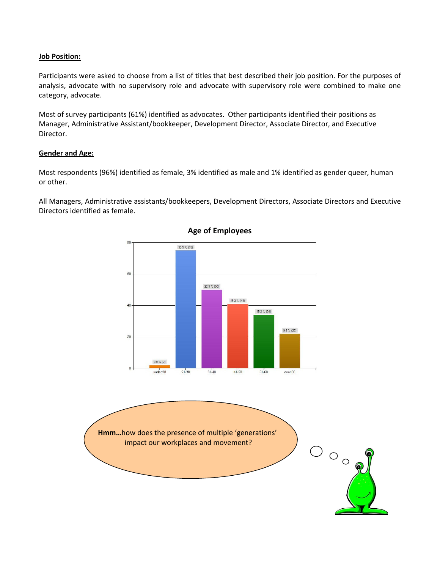#### **Job Position:**

Participants were asked to choose from a list of titles that best described their job position. For the purposes of analysis, advocate with no supervisory role and advocate with supervisory role were combined to make one category, advocate.

Most of survey participants (61%) identified as advocates. Other participants identified their positions as Manager, Administrative Assistant/bookkeeper, Development Director, Associate Director, and Executive Director.

#### **Gender and Age:**

Most respondents (96%) identified as female, 3% identified as male and 1% identified as gender queer, human or other.

All Managers, Administrative assistants/bookkeepers, Development Directors, Associate Directors and Executive Directors identified as female.



#### **Age of Employees**

Hmm...how does the presence of multiple 'generations' impact our workplaces and movement?

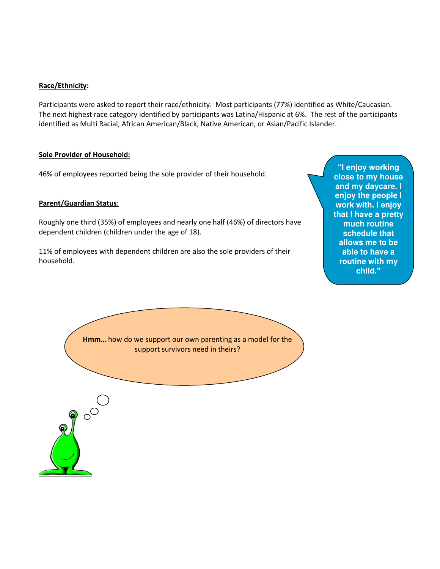#### Race/Ethnicity:

Participants were asked to report their race/ethnicity. Most participants (77%) identified as White/Caucasian. The next highest race category identified by participants was Latina/Hispanic at 6%. The rest of the participants identified as Multi Racial, African American/Black, Native American, or Asian/Pacific Islander.

#### Sole Provider of Household:

46% of employees reported being the sole provider of their household.

#### Parent/Guardian Status:

Roughly one third (35%) of employees and nearly one half (46%) of directors have dependent children (children under the age of 18).

11% of employees with dependent children are also the sole providers of their household.

**e schedule** that **"I enjoy working close to my house and my daycare. I enjoy the people I work with. I enjoy that I have a pretty much routine allows me to be able to have a routine with my child."**

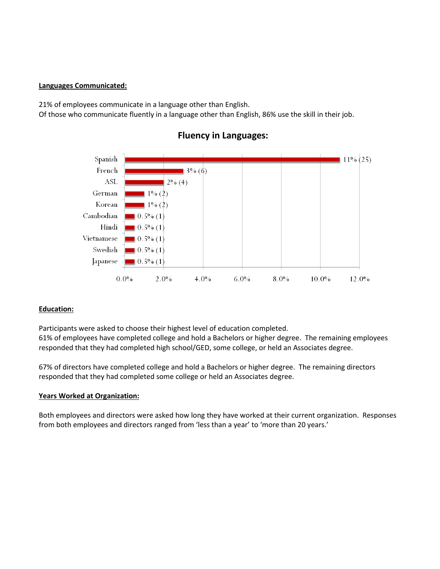#### Languages Communicated:

21% of employees communicate in a language other than English.

Of those who communicate fluently in a language other than English, 86% use the skill in their job.



## **Fluency in Languages:**

## **Education:**

Participants were asked to choose their highest level of education completed. 61% of employees have completed college and hold a Bachelors or higher degree. The remaining employees responded that they had completed high school/GED, some college, or held an Associates degree.

67% of directors have completed college and hold a Bachelors or higher degree. The remaining directors responded that they had completed some college or held an Associates degree.

#### **Years Worked at Organization:**

Both employees and directors were asked how long they have worked at their current organization. Responses from both employees and directors ranged from 'less than a year' to 'more than 20 years.'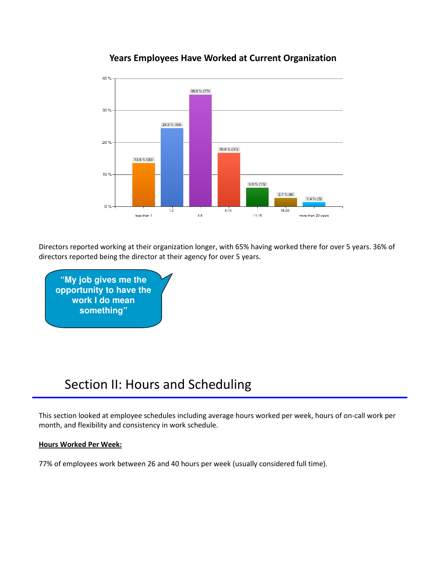

## **Years Employees Have Worked at Current Organization**

Directors reported working at their organization longer, with 65% having worked there for over 5 years. 36% of directors reported being the director at their agency for over 5 years.

"My job gives me the opportunity to have the work I do mean something"

## Section II: Hours and Scheduling

This section looked at employee schedules including average hours worked per week, hours of on-call work per month, and flexibility and consistency in work schedule.

## **Hours Worked Per Week:**

77% of employees work between 26 and 40 hours per week (usually considered full time).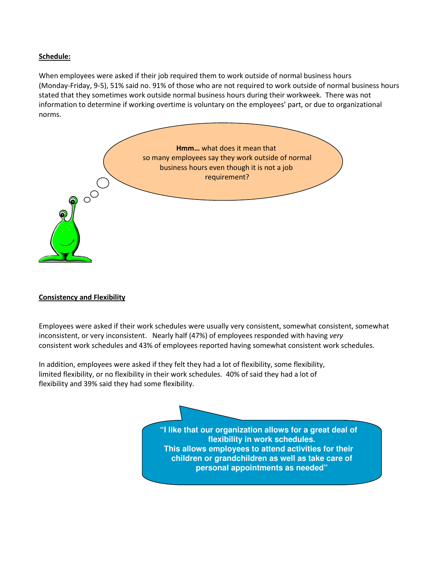#### Schedule:

When employees were asked if their job required them to work outside of normal business hours (Monday-Friday, 9-5), 51% said no. 91% of those who are not required to work outside of normal business hours stated that they sometimes work outside normal business hours during their workweek. There was not information to determine if working overtime is voluntary on the employees' part, or due to organizational norms.



#### **Consistency and Flexibility**

Employees were asked if their work schedules were usually very consistent, somewhat consistent, somewhat inconsistent, or very inconsistent. Nearly half (47%) of employees responded with having very consistent work schedules and 43% of employees reported having somewhat consistent work schedules.

In addition, employees were asked if they felt they had a lot of flexibility, some flexibility, limited flexibility, or no flexibility in their work schedules. 40% of said they had a lot of flexibility and 39% said they had some flexibility.

> **"I like that our organization allows for a great deal of flexibility in work schedules. This allows employees to attend activities for their children or grandchildren as well as take care of personal appointments as needed"**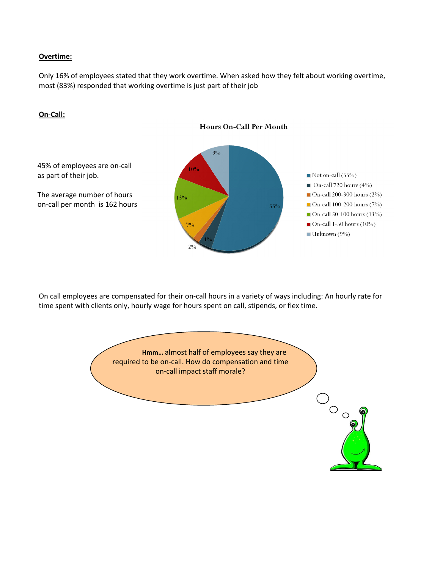#### Overtime:

Only 16% of employees stated that they work overtime. When asked how they felt about working overtime, most (83%) responded that working overtime is just part of their job



On-Call:

On call employees are compensated for their on-call hours in a variety of ways including: An hourly rate for time spent with clients only, hourly wage for hours spent on call, stipends, or flex time.

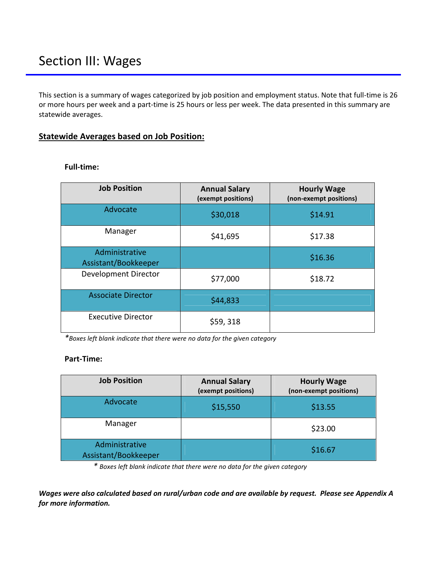This section is a summary of wages categorized by job position and employment status. Note that full-time is 26 or more hours per week and a part-time is 25 hours or less per week. The data presented in this summary are statewide averages.

## **Statewide Averages based on Job Position:**

| <b>Job Position</b>                    | <b>Annual Salary</b><br>(exempt positions) | <b>Hourly Wage</b><br>(non-exempt positions) |  |
|----------------------------------------|--------------------------------------------|----------------------------------------------|--|
| Advocate                               | \$30,018                                   | \$14.91                                      |  |
| Manager                                | \$41,695                                   | \$17.38                                      |  |
| Administrative<br>Assistant/Bookkeeper |                                            | \$16.36                                      |  |
| Development Director                   | \$77,000                                   | \$18.72                                      |  |
| <b>Associate Director</b>              | \$44,833                                   |                                              |  |
| <b>Executive Director</b>              | \$59,318                                   |                                              |  |

#### **Full-time:**

\*Boxes left blank indicate that there were no data for the given category

## Part-Time:

| <b>Job Position</b>                    | <b>Annual Salary</b><br>(exempt positions) | <b>Hourly Wage</b><br>(non-exempt positions) |
|----------------------------------------|--------------------------------------------|----------------------------------------------|
| Advocate                               | \$15,550                                   | \$13.55                                      |
| Manager                                |                                            | \$23.00                                      |
| Administrative<br>Assistant/Bookkeeper |                                            | \$16.67                                      |

\* Boxes left blank indicate that there were no data for the given category

Wages were also calculated based on rural/urban code and are available by request. Please see Appendix A for more information.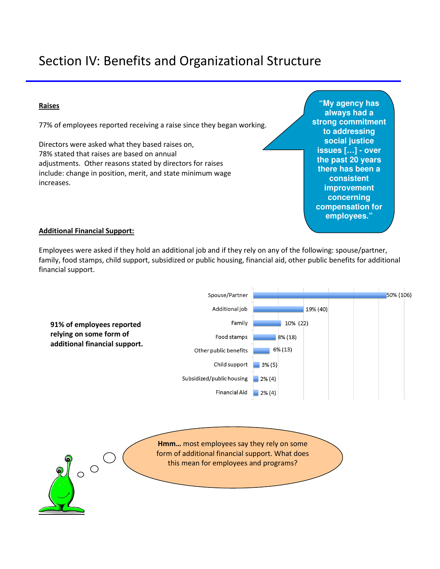# Section IV: Benefits and Organizational Structure

#### **Raises**

77% of employees reported receiving a raise since they began working.

Directors were asked what they based raises on, 78% stated that raises are based on annual adjustments. Other reasons stated by directors for raises include: change in position, merit, and state minimum wage increases.

**"My agency has always had a strong commitment to addressing social justice issues […] - over the past 20 years there has been a consistent improvement concerning compensation for employees."**

#### **Additional Financial Support:**

Employees were asked if they hold an additional job and if they rely on any of the following: spouse/partner, family, food stamps, child support, subsidized or public housing, financial aid, other public benefits for additional financial support.

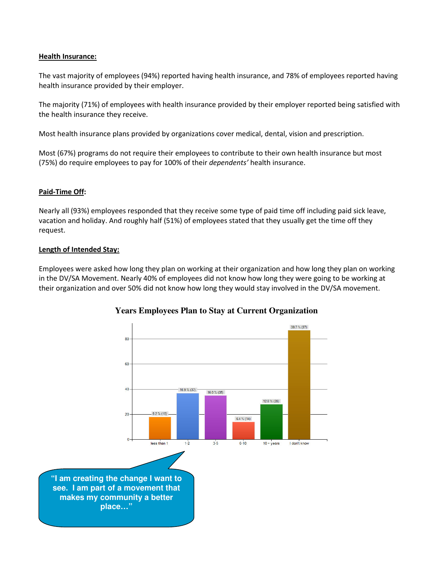#### **Health Insurance:**

The vast majority of employees (94%) reported having health insurance, and 78% of employees reported having health insurance provided by their employer.

The majority (71%) of employees with health insurance provided by their employer reported being satisfied with the health insurance they receive.

Most health insurance plans provided by organizations cover medical, dental, vision and prescription.

Most (67%) programs do not require their employees to contribute to their own health insurance but most (75%) do require employees to pay for 100% of their dependents' health insurance.

#### Paid-Time Off:

Nearly all (93%) employees responded that they receive some type of paid time off including paid sick leave, vacation and holiday. And roughly half (51%) of employees stated that they usually get the time off they request.

#### Length of Intended Stay:

Employees were asked how long they plan on working at their organization and how long they plan on working in the DV/SA Movement. Nearly 40% of employees did not know how long they were going to be working at their organization and over 50% did not know how long they would stay involved in the DV/SA movement.



## **Years Employees Plan to Stay at Current Organization**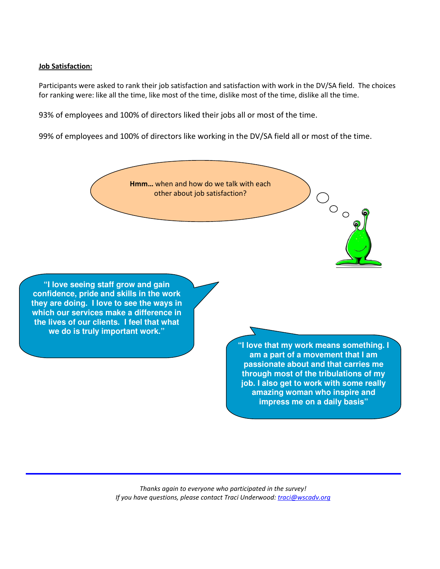#### <u>Job Satisfaction:</u>

Participants were asked to rank their job satisfaction and satisfaction with work in the DV/SA field. The choices for ranking were: like all the time, like most of the time, dislike most of the time, dislike all the time.

93% of employees and 100% of directors liked their jobs all or most of the time.

99% of employees and 100% of directors like working in the DV/SA field all or most of the time.



**"I love seeing staff grow and gain confidence, pride and skills in the work they are doing. I love to see the ways in which our services make a difference in the lives of our clients. I feel that what we do is truly important work."**

> **"I love that my work means something. I am a part of a movement that I am passionate about and that carries me through most of the tribulations of my job. I also get to work with some really amazing woman who inspire and impress me on a daily basis"**

 $O$   $\circ$   $\circ$ 

Thanks again to everyone who participated in the survey! If you have questions, please contact Traci Underwood: <u>traci@wscadv.org</u>